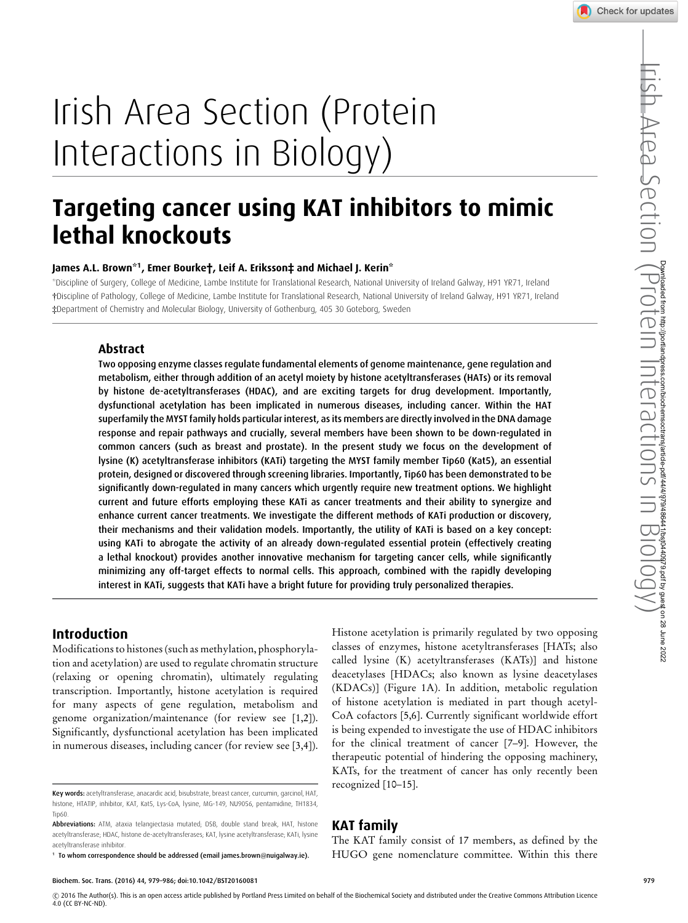# Irish Area Section (Protein Interactions in Biology)

# **Targeting cancer using KAT inhibitors to mimic lethal knockouts**

## **James A.L. Brown[\\*1,](#page-0-0) Emer Bourke†, Leif A. Eriksson‡ and Michael J. Kerin\***

\*Discipline of Surgery, College of Medicine, Lambe Institute for Translational Research, National University of Ireland Galway, H91 YR71, Ireland †Discipline of Pathology, College of Medicine, Lambe Institute for Translational Research, National University of Ireland Galway, H91 YR71, Ireland ‡Department of Chemistry and Molecular Biology, University of Gothenburg, 405 30 Goteborg, Sweden

#### **Abstract**

Two opposing enzyme classes regulate fundamental elements of genome maintenance, gene regulation and metabolism, either through addition of an acetyl moiety by histone acetyltransferases (HATs) or its removal by histone de-acetyltransferases (HDAC), and are exciting targets for drug development. Importantly, dysfunctional acetylation has been implicated in numerous diseases, including cancer. Within the HAT superfamily the MYST family holds particular interest, as its members are directly involved in the DNA damage response and repair pathways and crucially, several members have been shown to be down-regulated in common cancers (such as breast and prostate). In the present study we focus on the development of lysine (K) acetyltransferase inhibitors (KATi) targeting the MYST family member Tip60 (Kat5), an essential protein, designed or discovered through screening libraries. Importantly, Tip60 has been demonstrated to be significantly down-regulated in many cancers which urgently require new treatment options. We highlight current and future efforts employing these KATi as cancer treatments and their ability to synergize and enhance current cancer treatments. We investigate the different methods of KATi production or discovery, their mechanisms and their validation models. Importantly, the utility of KATi is based on a key concept: using KATi to abrogate the activity of an already down-regulated essential protein (effectively creating a lethal knockout) provides another innovative mechanism for targeting cancer cells, while significantly minimizing any off-target effects to normal cells. This approach, combined with the rapidly developing interest in KATi, suggests that KATi have a bright future for providing truly personalized therapies.

### **Introduction**

Modifications to histones (such as methylation, phosphorylation and acetylation) are used to regulate chromatin structure (relaxing or opening chromatin), ultimately regulating transcription. Importantly, histone acetylation is required for many aspects of gene regulation, metabolism and genome organization/maintenance (for review see [\[1](#page-6-0)[,2\]](#page-6-1)). Significantly, dysfunctional acetylation has been implicated in numerous diseases, including cancer (for review see [\[3](#page-6-2)[,4\]](#page-6-3)). Histone acetylation is primarily regulated by two opposing classes of enzymes, histone acetyltransferases [HATs; also called lysine (K) acetyltransferases (KATs)] and histone deacetylases [HDACs; also known as lysine deacetylases (KDACs)] [\(Figure 1A](#page-1-0)). In addition, metabolic regulation of histone acetylation is mediated in part though acetyl-CoA cofactors [\[5](#page-6-4)[,6\]](#page-6-5). Currently significant worldwide effort is being expended to investigate the use of HDAC inhibitors for the clinical treatment of cancer [\[7–](#page-6-6)[9\]](#page-6-7). However, the therapeutic potential of hindering the opposing machinery, KATs, for the treatment of cancer has only recently been recognized [\[10](#page-6-8)[–15\]](#page-6-9).

# **KAT family**

The KAT family consist of 17 members, as defined by the HUGO gene nomenclature committee. Within this there

Key words: acetyltransferase, anacardic acid, bisubstrate, breast cancer, curcumin, garcinol, HAT, histone, HTATIP, inhibitor, KAT, Kat5, Lys-CoA, lysine, MG-149, NU9056, pentamidine, TH1834, Tip60.

Abbreviations: ATM, ataxia telangiectasia mutated; DSB, double stand break, HAT, histone acetyltransferase; HDAC, histone de-acetyltransferases; KAT, lysine acetyltransferase; KATi, lysine acetyltransferase inhibitor.

<span id="page-0-0"></span><sup>1</sup> To whom correspondence should be addressed (email [james.brown@nuigalway.ie\)](mailto:james.brown@nuigalway.ie).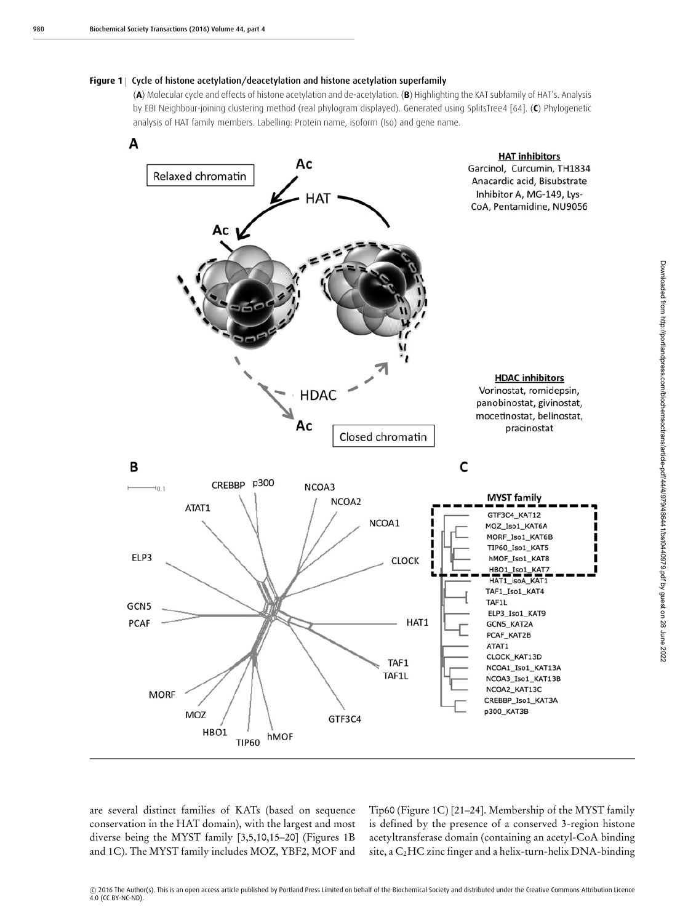#### <span id="page-1-0"></span>Figure 1 | Cycle of histone acetylation/deacetylation and histone acetylation superfamily

(**A**) Molecular cycle and effects of histone acetylation and de-acetylation. (**B**) Highlighting the KAT subfamily of HAT's. Analysis by EBI Neighbour-joining clustering method (real phylogram displayed). Generated using SplitsTree4 [\[64\]](#page-7-0). (**C**) Phylogenetic analysis of HAT family members. Labelling: Protein name, isoform (Iso) and gene name.



are several distinct families of KATs (based on sequence conservation in the HAT domain), with the largest and most diverse being the MYST family [\[3](#page-6-2)[,5,](#page-6-4)[10](#page-6-8)[,15–](#page-6-9)[20\]](#page-6-10) [\(Figures 1B](#page-1-0) and [1C](#page-1-0)). The MYST family includes MOZ, YBF2, MOF and

Tip60 [\(Figure 1C](#page-1-0)) [\[21](#page-6-11)[–24\]](#page-6-12). Membership of the MYST family is defined by the presence of a conserved 3-region histone acetyltransferase domain (containing an acetyl-CoA binding site, a  $C_2HC$  zinc finger and a helix-turn-helix DNA-binding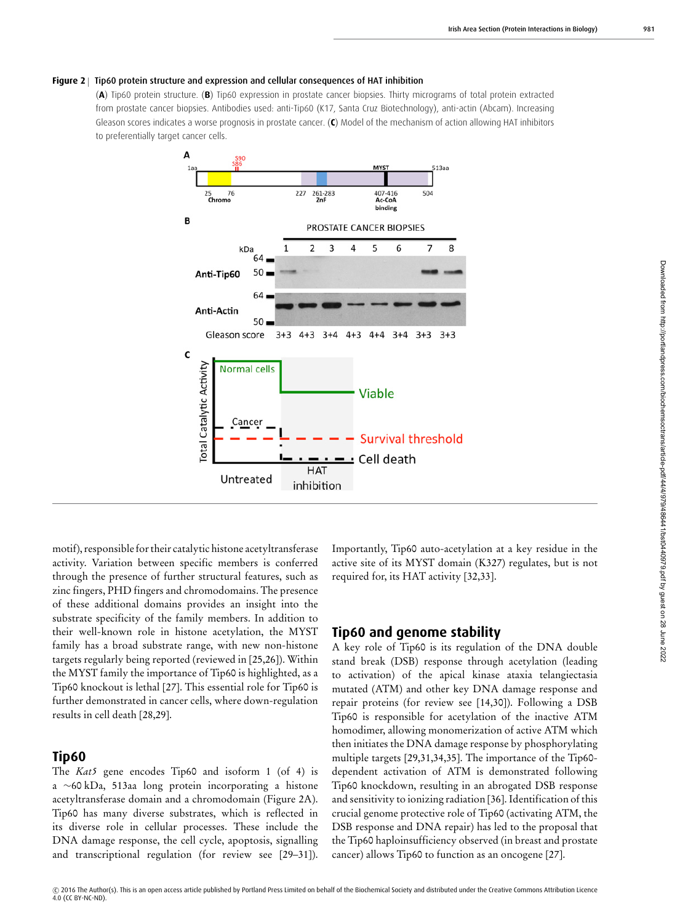#### <span id="page-2-0"></span>Figure 2 | Tip60 protein structure and expression and cellular consequences of HAT inhibition

(**A**) Tip60 protein structure. (**B**) Tip60 expression in prostate cancer biopsies. Thirty micrograms of total protein extracted from prostate cancer biopsies. Antibodies used: anti-Tip60 (K17, Santa Cruz Biotechnology), anti-actin (Abcam). Increasing Gleason scores indicates a worse prognosis in prostate cancer. (**C**) Model of the mechanism of action allowing HAT inhibitors to preferentially target cancer cells.



motif), responsible for their catalytic histone acetyltransferase activity. Variation between specific members is conferred through the presence of further structural features, such as zinc fingers, PHD fingers and chromodomains. The presence of these additional domains provides an insight into the substrate specificity of the family members. In addition to their well-known role in histone acetylation, the MYST family has a broad substrate range, with new non-histone targets regularly being reported (reviewed in [\[25](#page-6-13)[,26\]](#page-6-14)). Within the MYST family the importance of Tip60 is highlighted, as a Tip60 knockout is lethal [\[27\]](#page-6-15). This essential role for Tip60 is further demonstrated in cancer cells, where down-regulation results in cell death [\[28](#page-6-16)[,29\]](#page-6-17).

#### **Tip60**

The *Kat5* gene encodes Tip60 and isoform 1 (of 4) is a ∼60 kDa, 513aa long protein incorporating a histone acetyltransferase domain and a chromodomain [\(Figure 2A](#page-2-0)). Tip60 has many diverse substrates, which is reflected in its diverse role in cellular processes. These include the DNA damage response, the cell cycle, apoptosis, signalling and transcriptional regulation (for review see [\[29](#page-6-17)[–31\]](#page-6-18)).

Importantly, Tip60 auto-acetylation at a key residue in the active site of its MYST domain (K327) regulates, but is not required for, its HAT activity [\[32,](#page-7-1)[33\]](#page-7-2).

#### **Tip60 and genome stability**

A key role of Tip60 is its regulation of the DNA double stand break (DSB) response through acetylation (leading to activation) of the apical kinase ataxia telangiectasia mutated (ATM) and other key DNA damage response and repair proteins (for review see [\[14,](#page-6-19)[30\]](#page-6-20)). Following a DSB Tip60 is responsible for acetylation of the inactive ATM homodimer, allowing monomerization of active ATM which then initiates the DNA damage response by phosphorylating multiple targets [\[29,](#page-6-17)[31](#page-6-18)[,34](#page-7-3)[,35\]](#page-7-4). The importance of the Tip60 dependent activation of ATM is demonstrated following Tip60 knockdown, resulting in an abrogated DSB response and sensitivity to ionizing radiation [\[36\]](#page-7-5). Identification of this crucial genome protective role of Tip60 (activating ATM, the DSB response and DNA repair) has led to the proposal that the Tip60 haploinsufficiency observed (in breast and prostate cancer) allows Tip60 to function as an oncogene [\[27\]](#page-6-15).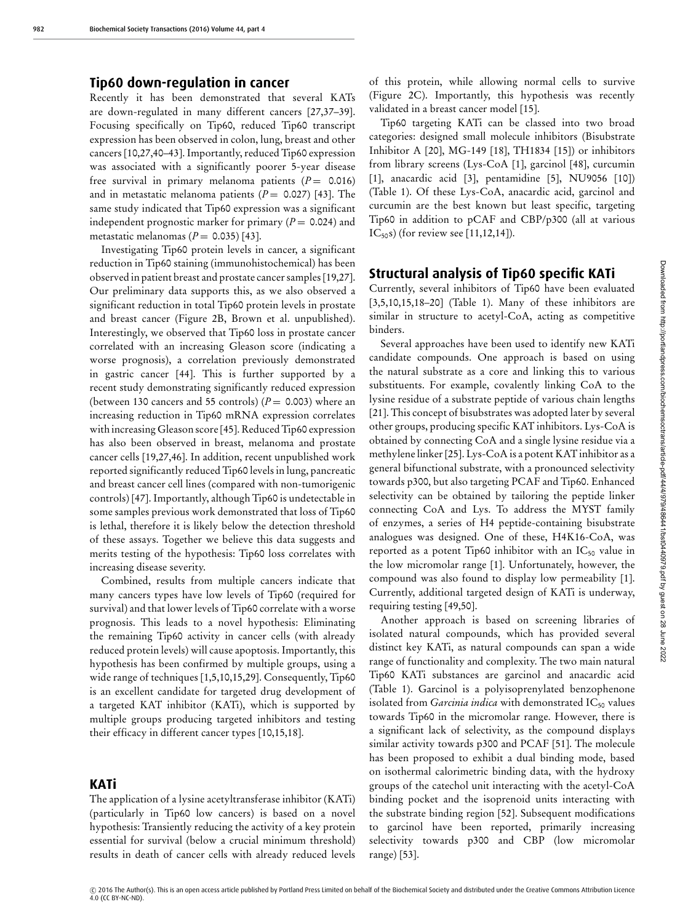#### **Tip60 down-regulation in cancer**

Recently it has been demonstrated that several KATs are down-regulated in many different cancers [\[27](#page-6-15)[,37–](#page-7-6)[39\]](#page-7-7). Focusing specifically on Tip60, reduced Tip60 transcript expression has been observed in colon, lung, breast and other cancers [\[10](#page-6-8)[,27,](#page-6-15)[40](#page-7-8)[–43\]](#page-7-9). Importantly, reduced Tip60 expression was associated with a significantly poorer 5-year disease free survival in primary melanoma patients  $(P = 0.016)$ and in metastatic melanoma patients  $(P = 0.027)$  [\[43\]](#page-7-9). The same study indicated that Tip60 expression was a significant independent prognostic marker for primary ( $P = 0.024$ ) and metastatic melanomas  $(P = 0.035)$  [\[43\]](#page-7-9).

Investigating Tip60 protein levels in cancer, a significant reduction in Tip60 staining (immunohistochemical) has been observed in patient breast and prostate cancer samples [\[19,](#page-6-21)[27\]](#page-6-15). Our preliminary data supports this, as we also observed a significant reduction in total Tip60 protein levels in prostate and breast cancer [\(Figure 2B](#page-2-0), Brown et al. unpublished). Interestingly, we observed that Tip60 loss in prostate cancer correlated with an increasing Gleason score (indicating a worse prognosis), a correlation previously demonstrated in gastric cancer [\[44\]](#page-7-10). This is further supported by a recent study demonstrating significantly reduced expression (between 130 cancers and 55 controls)  $(P = 0.003)$  where an increasing reduction in Tip60 mRNA expression correlates with increasing Gleason score [\[45\]](#page-7-11). Reduced Tip60 expression has also been observed in breast, melanoma and prostate cancer cells [\[19](#page-6-21)[,27](#page-6-15)[,46\]](#page-7-12). In addition, recent unpublished work reported significantly reduced Tip60 levels in lung, pancreatic and breast cancer cell lines (compared with non-tumorigenic controls) [\[47\]](#page-7-13). Importantly, although Tip60 is undetectable in some samples previous work demonstrated that loss of Tip60 is lethal, therefore it is likely below the detection threshold of these assays. Together we believe this data suggests and merits testing of the hypothesis: Tip60 loss correlates with increasing disease severity.

Combined, results from multiple cancers indicate that many cancers types have low levels of Tip60 (required for survival) and that lower levels of Tip60 correlate with a worse prognosis. This leads to a novel hypothesis: Eliminating the remaining Tip60 activity in cancer cells (with already reduced protein levels) will cause apoptosis. Importantly, this hypothesis has been confirmed by multiple groups, using a wide range of techniques [\[1](#page-6-0)[,5,](#page-6-4)[10](#page-6-8)[,15](#page-6-9)[,29\]](#page-6-17). Consequently, Tip60 is an excellent candidate for targeted drug development of a targeted KAT inhibitor (KATi), which is supported by multiple groups producing targeted inhibitors and testing their efficacy in different cancer types [\[10,](#page-6-8)[15,](#page-6-9)[18\]](#page-6-22).

#### **KATi**

The application of a lysine acetyltransferase inhibitor (KATi) (particularly in Tip60 low cancers) is based on a novel hypothesis: Transiently reducing the activity of a key protein essential for survival (below a crucial minimum threshold) results in death of cancer cells with already reduced levels

of this protein, while allowing normal cells to survive [\(Figure 2C](#page-2-0)). Importantly, this hypothesis was recently validated in a breast cancer model [\[15\]](#page-6-9).

Tip60 targeting KATi can be classed into two broad categories: designed small molecule inhibitors (Bisubstrate Inhibitor A [\[20\]](#page-6-10), MG-149 [\[18\]](#page-6-22), TH1834 [\[15\]](#page-6-9)) or inhibitors from library screens (Lys-CoA [\[1\]](#page-6-0), garcinol [\[48\]](#page-7-14), curcumin [\[1\]](#page-6-0), anacardic acid [\[3\]](#page-6-2), pentamidine [\[5\]](#page-6-4), NU9056 [\[10\]](#page-6-8)) [\(Table 1\)](#page-4-0). Of these Lys-CoA, anacardic acid, garcinol and curcumin are the best known but least specific, targeting Tip60 in addition to pCAF and CBP/p300 (all at various  $IC_{50}$ s) (for review see [\[11,](#page-6-23)[12,](#page-6-24)[14\]](#page-6-19)).

#### **Structural analysis of Tip60 specific KATi**

Currently, several inhibitors of Tip60 have been evaluated [\[3](#page-6-2)[,5](#page-6-4)[,10](#page-6-8)[,15,](#page-6-9)[18–](#page-6-22)[20\]](#page-6-10) [\(Table 1\)](#page-4-0). Many of these inhibitors are similar in structure to acetyl-CoA, acting as competitive binders.

Several approaches have been used to identify new KATi candidate compounds. One approach is based on using the natural substrate as a core and linking this to various substituents. For example, covalently linking CoA to the lysine residue of a substrate peptide of various chain lengths [\[21\]](#page-6-11). This concept of bisubstrates was adopted later by several other groups, producing specific KAT inhibitors. Lys-CoA is obtained by connecting CoA and a single lysine residue via a methylene linker [\[25\]](#page-6-13). Lys-CoA is a potent KAT inhibitor as a general bifunctional substrate, with a pronounced selectivity towards p300, but also targeting PCAF and Tip60. Enhanced selectivity can be obtained by tailoring the peptide linker connecting CoA and Lys. To address the MYST family of enzymes, a series of H4 peptide-containing bisubstrate analogues was designed. One of these, H4K16-CoA, was reported as a potent Tip60 inhibitor with an  $IC_{50}$  value in the low micromolar range [\[1\]](#page-6-0). Unfortunately, however, the compound was also found to display low permeability [\[1\]](#page-6-0). Currently, additional targeted design of KATi is underway, requiring testing [\[49](#page-7-15)[,50\]](#page-7-16).

Another approach is based on screening libraries of isolated natural compounds, which has provided several distinct key KATi, as natural compounds can span a wide range of functionality and complexity. The two main natural Tip60 KATi substances are garcinol and anacardic acid [\(Table 1\)](#page-4-0). Garcinol is a polyisoprenylated benzophenone isolated from *Garcinia indica* with demonstrated IC<sub>50</sub> values towards Tip60 in the micromolar range. However, there is a significant lack of selectivity, as the compound displays similar activity towards p300 and PCAF [\[51\]](#page-7-17). The molecule has been proposed to exhibit a dual binding mode, based on isothermal calorimetric binding data, with the hydroxy groups of the catechol unit interacting with the acetyl-CoA binding pocket and the isoprenoid units interacting with the substrate binding region [\[52\]](#page-7-18). Subsequent modifications to garcinol have been reported, primarily increasing selectivity towards p300 and CBP (low micromolar range) [\[53\]](#page-7-19).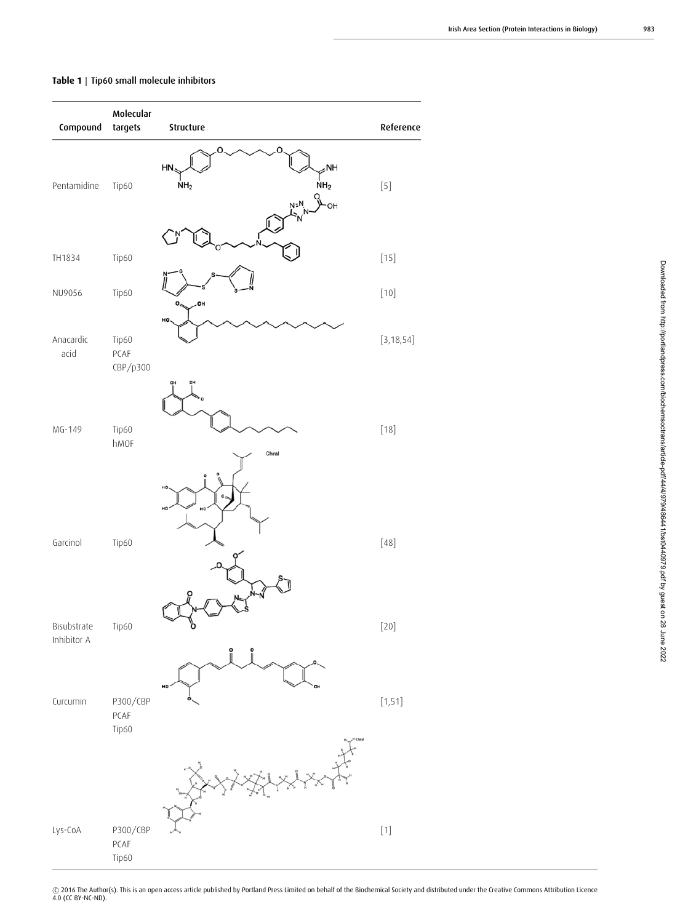#### <span id="page-4-0"></span>**Table 1** Tip60 small molecule inhibitors

| Compound                   | Molecular<br>targets      | Structure                                                      | Reference                                                                                                                                                                                                                                                                                              |
|----------------------------|---------------------------|----------------------------------------------------------------|--------------------------------------------------------------------------------------------------------------------------------------------------------------------------------------------------------------------------------------------------------------------------------------------------------|
| Pentamidine                | Tip60                     | HN<br>NH,<br>NH <sub>2</sub><br>NH <sub>2</sub><br>$N=N$<br>ОH | $[5]$                                                                                                                                                                                                                                                                                                  |
| TH1834                     | Tip60                     |                                                                | $[15]$                                                                                                                                                                                                                                                                                                 |
| NU9056                     | Tip60                     |                                                                | $[10]$                                                                                                                                                                                                                                                                                                 |
| Anacardic<br>acid          | Tip60<br>PCAF<br>CBP/p300 | HO                                                             | [3, 18, 54]                                                                                                                                                                                                                                                                                            |
| MG-149                     | Tip60<br>hMOF             | OH<br>OН<br>Chiral<br>$\overline{\phantom{a}}$<br>HO           | $[18]$                                                                                                                                                                                                                                                                                                 |
| Garcinol                   | Tip60                     | но<br>нo                                                       | $[48]$                                                                                                                                                                                                                                                                                                 |
| Bisubstrate<br>Inhibitor A | Tip60                     | β                                                              | $[20]$                                                                                                                                                                                                                                                                                                 |
| Curcumin                   | P300/CBP<br>PCAF<br>Tip60 |                                                                | $\left[ 1,51\right]$                                                                                                                                                                                                                                                                                   |
| Lys-CoA                    | P300/CBP<br>PCAF<br>Tip60 |                                                                | $[1] % \centering \includegraphics[width=0.9\columnwidth]{figures/fig_10.pdf} \caption{The graph $\mathcal{N}_1$ is a function of the number of~\textit{N}_1$ (left) and the number of~\textit{N}_2$ (right) and the number of~\textit{N}_1$ (right) are shown in Fig.~\ref{fig:10}. } \label{fig:11}$ |

© 2016 The Author(s). This is an open access article published by Portland Press Limited on behalf of the Biochemical Society and distributed under the [Creative Commons Attribution Licence](http://creativecommons.org/licenses/by-nc-nd/4.0/)<br>[4.0 \(CC BY-NC-ND\).](http://creativecommons.org/licenses/by-nc-nd/4.0/)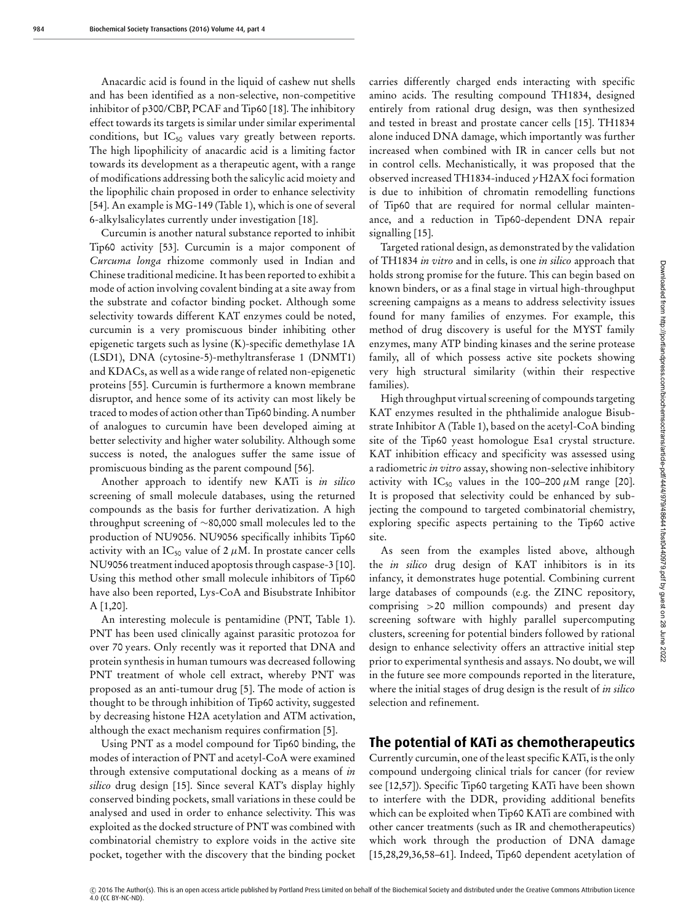Anacardic acid is found in the liquid of cashew nut shells and has been identified as a non-selective, non-competitive inhibitor of p300/CBP, PCAF and Tip60 [\[18\]](#page-6-22). The inhibitory effect towards its targets is similar under similar experimental conditions, but IC<sub>50</sub> values vary greatly between reports. The high lipophilicity of anacardic acid is a limiting factor towards its development as a therapeutic agent, with a range of modifications addressing both the salicylic acid moiety and the lipophilic chain proposed in order to enhance selectivity [\[54\]](#page-7-20). An example is MG-149 [\(Table 1\)](#page-4-0), which is one of several 6-alkylsalicylates currently under investigation [\[18\]](#page-6-22).

Curcumin is another natural substance reported to inhibit Tip60 activity [\[53\]](#page-7-19). Curcumin is a major component of *Curcuma longa* rhizome commonly used in Indian and Chinese traditional medicine. It has been reported to exhibit a mode of action involving covalent binding at a site away from the substrate and cofactor binding pocket. Although some selectivity towards different KAT enzymes could be noted, curcumin is a very promiscuous binder inhibiting other epigenetic targets such as lysine (K)-specific demethylase 1A (LSD1), DNA (cytosine-5)-methyltransferase 1 (DNMT1) and KDACs, as well as a wide range of related non-epigenetic proteins [\[55\]](#page-7-21). Curcumin is furthermore a known membrane disruptor, and hence some of its activity can most likely be traced to modes of action other than Tip60 binding. A number of analogues to curcumin have been developed aiming at better selectivity and higher water solubility. Although some success is noted, the analogues suffer the same issue of promiscuous binding as the parent compound [\[56\]](#page-7-22).

Another approach to identify new KATi is *in silico* screening of small molecule databases, using the returned compounds as the basis for further derivatization. A high throughput screening of ∼80,000 small molecules led to the production of NU9056. NU9056 specifically inhibits Tip60 activity with an  $IC_{50}$  value of 2  $\mu$ M. In prostate cancer cells NU9056 treatment induced apoptosis through caspase-3 [\[10\]](#page-6-8). Using this method other small molecule inhibitors of Tip60 have also been reported, Lys-CoA and Bisubstrate Inhibitor A [\[1,](#page-6-0)[20\]](#page-6-10).

An interesting molecule is pentamidine (PNT, [Table 1\)](#page-4-0). PNT has been used clinically against parasitic protozoa for over 70 years. Only recently was it reported that DNA and protein synthesis in human tumours was decreased following PNT treatment of whole cell extract, whereby PNT was proposed as an anti-tumour drug [\[5\]](#page-6-4). The mode of action is thought to be through inhibition of Tip60 activity, suggested by decreasing histone H2A acetylation and ATM activation, although the exact mechanism requires confirmation [\[5\]](#page-6-4).

Using PNT as a model compound for Tip60 binding, the modes of interaction of PNT and acetyl-CoA were examined through extensive computational docking as a means of *in silico* drug design [\[15\]](#page-6-9). Since several KAT's display highly conserved binding pockets, small variations in these could be analysed and used in order to enhance selectivity. This was exploited as the docked structure of PNT was combined with combinatorial chemistry to explore voids in the active site pocket, together with the discovery that the binding pocket

carries differently charged ends interacting with specific amino acids. The resulting compound TH1834, designed entirely from rational drug design, was then synthesized and tested in breast and prostate cancer cells [\[15\]](#page-6-9). TH1834 alone induced DNA damage, which importantly was further increased when combined with IR in cancer cells but not in control cells. Mechanistically, it was proposed that the observed increased TH1834-induced γ H2AX foci formation is due to inhibition of chromatin remodelling functions of Tip60 that are required for normal cellular maintenance, and a reduction in Tip60-dependent DNA repair signalling [\[15\]](#page-6-9).

Targeted rational design, as demonstrated by the validation of TH1834 *in vitro* and in cells, is one *in silico* approach that holds strong promise for the future. This can begin based on known binders, or as a final stage in virtual high-throughput screening campaigns as a means to address selectivity issues found for many families of enzymes. For example, this method of drug discovery is useful for the MYST family enzymes, many ATP binding kinases and the serine protease family, all of which possess active site pockets showing very high structural similarity (within their respective families).

High throughput virtual screening of compounds targeting KAT enzymes resulted in the phthalimide analogue Bisubstrate Inhibitor A [\(Table 1\)](#page-4-0), based on the acetyl-CoA binding site of the Tip60 yeast homologue Esa1 crystal structure. KAT inhibition efficacy and specificity was assessed using a radiometric *in vitro* assay, showing non-selective inhibitory activity with IC<sub>50</sub> values in the 100-200  $\mu$ M range [\[20\]](#page-6-10). It is proposed that selectivity could be enhanced by subjecting the compound to targeted combinatorial chemistry, exploring specific aspects pertaining to the Tip60 active site.

As seen from the examples listed above, although the *in silico* drug design of KAT inhibitors is in its infancy, it demonstrates huge potential. Combining current large databases of compounds (e.g. the ZINC repository, comprising >20 million compounds) and present day screening software with highly parallel supercomputing clusters, screening for potential binders followed by rational design to enhance selectivity offers an attractive initial step prior to experimental synthesis and assays. No doubt, we will in the future see more compounds reported in the literature, where the initial stages of drug design is the result of *in silico* selection and refinement.

# **The potential of KATi as chemotherapeutics**

Currently curcumin, one of the least specific KATi, is the only compound undergoing clinical trials for cancer (for review see [\[12,](#page-6-24)[57\]](#page-7-23)). Specific Tip60 targeting KATi have been shown to interfere with the DDR, providing additional benefits which can be exploited when Tip60 KATi are combined with other cancer treatments (such as IR and chemotherapeutics) which work through the production of DNA damage [\[15,](#page-6-9)[28](#page-6-16)[,29](#page-6-17)[,36,](#page-7-5)[58](#page-7-24)[–61\]](#page-7-25). Indeed, Tip60 dependent acetylation of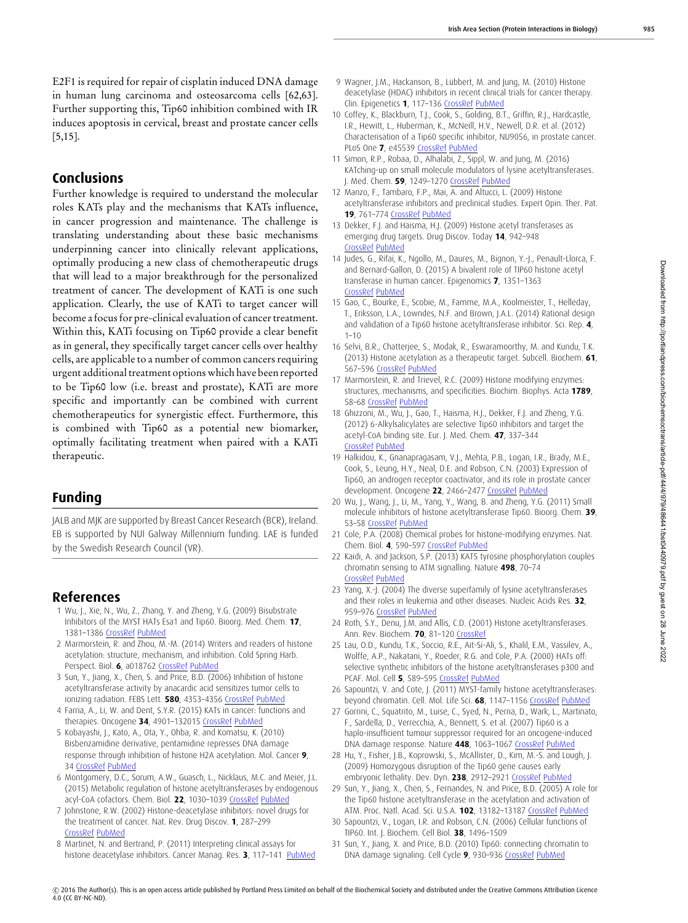E2F1 is required for repair of cisplatin induced DNA damage in human lung carcinoma and osteosarcoma cells [\[62](#page-7-26)[,63\]](#page-7-27). Further supporting this, Tip60 inhibition combined with IR induces apoptosis in cervical, breast and prostate cancer cells [\[5,](#page-6-4)[15\]](#page-6-9).

# **Conclusions**

Further knowledge is required to understand the molecular roles KATs play and the mechanisms that KATs influence, in cancer progression and maintenance. The challenge is translating understanding about these basic mechanisms underpinning cancer into clinically relevant applications, optimally producing a new class of chemotherapeutic drugs that will lead to a major breakthrough for the personalized treatment of cancer. The development of KATi is one such application. Clearly, the use of KATi to target cancer will become a focus for pre-clinical evaluation of cancer treatment. Within this, KATi focusing on Tip60 provide a clear benefit as in general, they specifically target cancer cells over healthy cells, are applicable to a number of common cancers requiring urgent additional treatment options which have been reported to be Tip60 low (i.e. breast and prostate), KATi are more specific and importantly can be combined with current chemotherapeutics for synergistic effect. Furthermore, this is combined with Tip60 as a potential new biomarker, optimally facilitating treatment when paired with a KATi therapeutic.

# **Funding**

JALB and MJK are supported by Breast Cancer Research (BCR), Ireland. EB is supported by NUI Galway Millennium funding. LAE is funded by the Swedish Research Council (VR).

#### **References**

- <span id="page-6-0"></span>1 Wu, J., Xie, N., Wu, Z., Zhang, Y. and Zheng, Y.G. (2009) Bisubstrate Inhibitors of the MYST HATs Esa1 and Tip60. Bioorg. Med. Chem. **17**, 1381-1386 [CrossRef](http://dx.doi.org/10.1016/j.bmc.2008.12.014) [PubMed](http://www.ncbi.nlm.nih.gov/pubmed/19114310)
- <span id="page-6-1"></span>2 Marmorstein, R. and Zhou, M.-M. (2014) Writers and readers of histone acetylation: structure, mechanism, and inhibition. Cold Spring Harb. Perspect. Biol. 6, a018762 [CrossRef](http://dx.doi.org/10.1101/cshperspect.a018762) [PubMed](http://www.ncbi.nlm.nih.gov/pubmed/24984779)
- <span id="page-6-2"></span>3 Sun, Y., Jiang, X., Chen, S. and Price, B.D. (2006) Inhibition of histone acetyltransferase activity by anacardic acid sensitizes tumor cells to ionizing radiation. FEBS Lett. **580**, 4353–4356 [CrossRef](http://dx.doi.org/10.1016/j.febslet.2006.06.092) [PubMed](http://www.ncbi.nlm.nih.gov/pubmed/16844118)
- <span id="page-6-3"></span>4 Farria, A., Li, W. and Dent, S.Y.R. (2015) KATs in cancer: functions and therapies. Oncogene **34**, 4901–132015 [CrossRef](http://dx.doi.org/10.1038/onc.2014.453) [PubMed](http://www.ncbi.nlm.nih.gov/pubmed/25659580)
- <span id="page-6-4"></span>5 Kobayashi, J., Kato, A., Ota, Y., Ohba, R. and Komatsu, K. (2010) Bisbenzamidine derivative, pentamidine represses DNA damage response through inhibition of histone H2A acetylation. Mol. Cancer **9**, 34 [CrossRef](http://dx.doi.org/10.1186/1476-4598-9-34) [PubMed](http://www.ncbi.nlm.nih.gov/pubmed/20144237)
- <span id="page-6-5"></span>6 Montgomery, D.C., Sorum, A.W., Guasch, L., Nicklaus, M.C. and Meier, J.L. (2015) Metabolic regulation of histone acetyltransferases by endogenous acyl-CoA cofactors. Chem. Biol. 22, 1030-1039 [CrossRef](http://dx.doi.org/10.1016/j.chembiol.2015.06.015) PubM
- <span id="page-6-6"></span>7 Johnstone, R.W. (2002) Histone-deacetylase inhibitors: novel drugs for the treatment of cancer. Nat. Rev. Drug Discov. **1**, 287–299 [CrossRef](http://dx.doi.org/10.1038/nrd772) [PubMed](http://www.ncbi.nlm.nih.gov/pubmed/12120280)
- 8 Martinet, N. and Bertrand, P. (2011) Interpreting clinical assays for histone deacetylase inhibitors. Cancer Manag. Res. **3**, 117–141 [PubMed](http://www.ncbi.nlm.nih.gov/pubmed/21625397)
- <span id="page-6-7"></span>9 Wagner, J.M., Hackanson, B., Lübbert, M. and Jung, M. (2010) Histone deacetylase (HDAC) inhibitors in recent clinical trials for cancer therapy. Clin. Epigenetics **1**, 117–136 [CrossRef](http://dx.doi.org/10.1007/s13148-010-0012-4) [PubMed](http://www.ncbi.nlm.nih.gov/pubmed/21258646)
- <span id="page-6-8"></span>10 Coffey, K., Blackburn, T.J., Cook, S., Golding, B.T., Griffin, R.J., Hardcastle, I.R., Hewitt, L., Huberman, K., McNeill, H.V., Newell, D.R. et al. (2012) Characterisation of a Tip60 specific inhibitor, NU9056, in prostate cancer. PLoS One 7, e45539 [CrossRef](http://dx.doi.org/10.1371/journal.pone.0045539) [PubMed](http://www.ncbi.nlm.nih.gov/pubmed/23056207)
- <span id="page-6-23"></span>11 Simon, R.P., Robaa, D., Alhalabi, Z., Sippl, W. and Jung, M. (2016) KATching-up on small molecule modulators of lysine acetyltransferases. J. Med. Chem. **59**, 1249–1270 [CrossRef](http://dx.doi.org/10.1021/acs.jmedchem.5b01502) [PubMed](http://www.ncbi.nlm.nih.gov/pubmed/26701186)
- <span id="page-6-24"></span>12 Manzo, F., Tambaro, F.P., Mai, A. and Altucci, L. (2009) Histone acetyltransferase inhibitors and preclinical studies. Expert Opin. Ther. Pat. **19**, 761–774 [CrossRef](http://dx.doi.org/10.1517/13543770902895727) [PubMed](http://www.ncbi.nlm.nih.gov/pubmed/19473103)
- 13 Dekker, F.J. and Haisma, H.J. (2009) Histone acetyl transferases as emerging drug targets. Drug Discov. Today **14**, 942–948 [CrossRef](http://dx.doi.org/10.1016/j.drudis.2009.06.008) [PubMed](http://www.ncbi.nlm.nih.gov/pubmed/19577000)
- <span id="page-6-19"></span>14 Judes, G., Rifaï, K., Ngollo, M., Daures, M., Bignon, Y.-J., Penault-Llorca, F. and Bernard-Gallon, D. (2015) A bivalent role of TIP60 histone acetyl transferase in human cancer. Epigenomics **7**, 1351–1363 [CrossRef](http://dx.doi.org/10.2217/epi.15.76) [PubMed](http://www.ncbi.nlm.nih.gov/pubmed/26638912)
- <span id="page-6-9"></span>15 Gao, C., Bourke, E., Scobie, M., Famme, M.A., Koolmeister, T., Helleday, T., Eriksson, L.A., Lowndes, N.F. and Brown, J.A.L. (2014) Rational design and validation of a Tip60 histone acetyltransferase inhibitor. Sci. Rep. **4**,  $1 - 10$
- 16 Selvi, B.R., Chatterjee, S., Modak, R., Eswaramoorthy, M. and Kundu, T.K. (2013) Histone acetylation as a therapeutic target. Subcell. Biochem. **61**, 567–596 [CrossRef](http://dx.doi.org/10.1007/978-94-007-4525-4) [PubMed](http://www.ncbi.nlm.nih.gov/pubmed/23150268)
- 17 Marmorstein, R. and Trievel, R.C. (2009) Histone modifying enzymes: structures, mechanisms, and specificities. Biochim. Biophys. Acta **1789**, 58–68 [CrossRef](http://dx.doi.org/10.1016/j.bbagrm.2008.07.009) [PubMed](http://www.ncbi.nlm.nih.gov/pubmed/18722564)
- <span id="page-6-22"></span>18 Ghizzoni, M., Wu, J., Gao, T., Haisma, H.J., Dekker, F.J. and Zheng, Y.G. (2012) 6-Alkylsalicylates are selective Tip60 inhibitors and target the acetyl-CoA binding site. Eur. J. Med. Chem. **47**, 337–344 [CrossRef](http://dx.doi.org/10.1016/j.ejmech.2011.11.001) [PubMed](http://www.ncbi.nlm.nih.gov/pubmed/22100137)
- <span id="page-6-21"></span>19 Halkidou, K., Gnanapragasam, V.J., Mehta, P.B., Logan, I.R., Brady, M.E., Cook, S., Leung, H.Y., Neal, D.E. and Robson, C.N. (2003) Expression of Tip60, an androgen receptor coactivator, and its role in prostate cancer development. Oncogene **22**, 2466–2477 [CrossRef](http://dx.doi.org/10.1038/sj.onc.1206342) [PubMed](http://www.ncbi.nlm.nih.gov/pubmed/12717424)
- <span id="page-6-10"></span>20 Wu, J., Wang, J., Li, M., Yang, Y., Wang, B. and Zheng, Y.G. (2011) Small molecule inhibitors of histone acetyltransferase Tip60. Bioorg. Chem. **39**, 53–58 [CrossRef](http://dx.doi.org/10.1016/j.bioorg.2010.11.003) [PubMed](http://www.ncbi.nlm.nih.gov/pubmed/21186043)
- <span id="page-6-11"></span>21 Cole, P.A. (2008) Chemical probes for histone-modifying enzymes. Nat. Chem. Biol. **4**, 590–597 [CrossRef](http://dx.doi.org/10.1038/nchembio.111) [PubMed](http://www.ncbi.nlm.nih.gov/pubmed/18800048)
- 22 Kaidi, A. and Jackson, S.P. (2013) KAT5 tyrosine phosphorylation couples chromatin sensing to ATM signalling. Nature **498**, 70–74 [CrossRef](http://dx.doi.org/10.1038/nature12201) [PubMed](http://www.ncbi.nlm.nih.gov/pubmed/23708966)
- 23 Yang, X.-J. (2004) The diverse superfamily of lysine acetyltransferases and their roles in leukemia and other diseases. Nucleic Acids Res. **32**, 959–976 [CrossRef](http://dx.doi.org/10.1093/nar/gkh252) [PubMed](http://www.ncbi.nlm.nih.gov/pubmed/14960713)
- <span id="page-6-12"></span>24 Roth, S.Y., Denu, J.M. and Allis, C.D. (2001) Histone acetyltransferases. Ann. Rev. Biochem. 70, 81-120 [CrossRef](http://dx.doi.org/10.1146/annurev.biochem.70.1.81)
- <span id="page-6-13"></span>25 Lau, O.D., Kundu, T.K., Soccio, R.E., Ait-Si-Ali, S., Khalil, E.M., Vassilev, A., Wolffe, A.P., Nakatani, Y., Roeder, R.G. and Cole, P.A. (2000) HATs off: selective synthetic inhibitors of the histone acetyltransferases p300 and PCAF. Mol. Cell **5**, 589–595 [CrossRef](http://dx.doi.org/10.1016/S1097-2765(00)80452-9) [PubMed](http://www.ncbi.nlm.nih.gov/pubmed/10882143)
- <span id="page-6-14"></span>26 Sapountzi, V. and Cote, J. (2011) MYST-family histone acetyltransferases: beyond chromatin. Cell. Mol. Life Sci. 68, 1147-1156 [CrossRef](http://dx.doi.org/10.1007/s00018-010-0599-9) [PubMed](http://www.ncbi.nlm.nih.gov/pubmed/21132344)
- <span id="page-6-15"></span>27 Gorrini, C., Squatrito, M., Luise, C., Syed, N., Perna, D., Wark, L., Martinato, F., Sardella, D., Verrecchia, A., Bennett, S. et al. (2007) Tip60 is a haplo-insufficient tumour suppressor required for an oncogene-induced DNA damage response. Nature **448**, 1063–1067 [CrossRef](http://dx.doi.org/10.1038/nature06055) [PubMed](http://www.ncbi.nlm.nih.gov/pubmed/17728759)
- <span id="page-6-16"></span>28 Hu, Y., Fisher, J.B., Koprowski, S., McAllister, D., Kim, M.-S. and Lough, J. (2009) Homozygous disruption of the Tip60 gene causes early embryonic lethality. Dev. Dyn. **238**, 2912–2921 [CrossRef](http://dx.doi.org/10.1002/dvdy.22110) [PubMed](http://www.ncbi.nlm.nih.gov/pubmed/19842187)
- <span id="page-6-17"></span>29 Sun, Y., Jiang, X., Chen, S., Fernandes, N. and Price, B.D. (2005) A role for the Tip60 histone acetyltransferase in the acetylation and activation of ATM. Proc. Natl. Acad. Sci. U.S.A. **102**, 13182–13187 [CrossRef](http://dx.doi.org/10.1073/pnas.0504211102) [PubMed](http://www.ncbi.nlm.nih.gov/pubmed/16141325)
- <span id="page-6-20"></span>30 Sapountzi, V., Logan, I.R. and Robson, C.N. (2006) Cellular functions of TIP60. Int. J. Biochem. Cell Biol. **38**, 1496–1509
- <span id="page-6-18"></span>31 Sun, Y., Jiang, X. and Price, B.D. (2010) Tip60: connecting chromatin to DNA damage signaling. Cell Cycle **9**, 930–936 [CrossRef](http://dx.doi.org/10.4161/cc.9.5.10931) [PubMed](http://www.ncbi.nlm.nih.gov/pubmed/20160506)